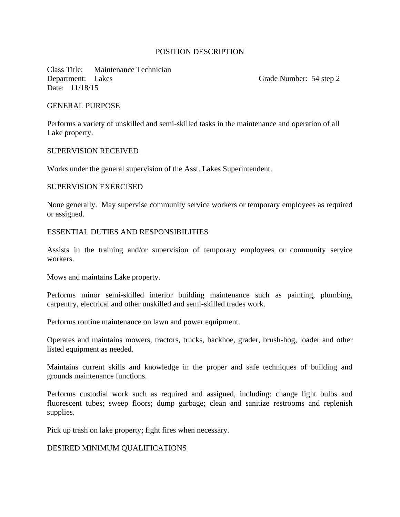# POSITION DESCRIPTION

Class Title: Maintenance Technician Department: Lakes Grade Number: 54 step 2 Date: 11/18/15

#### GENERAL PURPOSE

Performs a variety of unskilled and semi-skilled tasks in the maintenance and operation of all Lake property.

#### SUPERVISION RECEIVED

Works under the general supervision of the Asst. Lakes Superintendent.

## SUPERVISION EXERCISED

None generally. May supervise community service workers or temporary employees as required or assigned.

### ESSENTIAL DUTIES AND RESPONSIBILITIES

Assists in the training and/or supervision of temporary employees or community service workers.

Mows and maintains Lake property.

Performs minor semi-skilled interior building maintenance such as painting, plumbing, carpentry, electrical and other unskilled and semi-skilled trades work.

Performs routine maintenance on lawn and power equipment.

Operates and maintains mowers, tractors, trucks, backhoe, grader, brush-hog, loader and other listed equipment as needed.

Maintains current skills and knowledge in the proper and safe techniques of building and grounds maintenance functions.

Performs custodial work such as required and assigned, including: change light bulbs and fluorescent tubes; sweep floors; dump garbage; clean and sanitize restrooms and replenish supplies.

Pick up trash on lake property; fight fires when necessary.

#### DESIRED MINIMUM QUALIFICATIONS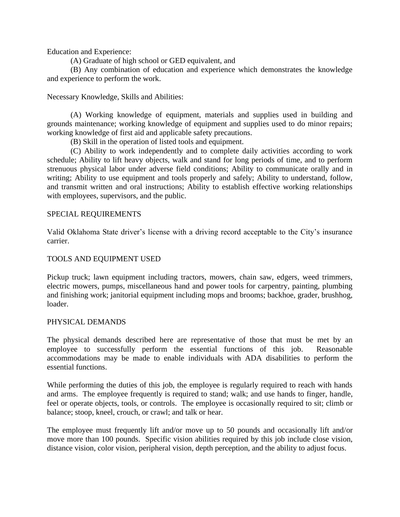Education and Experience:

(A) Graduate of high school or GED equivalent, and

(B) Any combination of education and experience which demonstrates the knowledge and experience to perform the work.

Necessary Knowledge, Skills and Abilities:

(A) Working knowledge of equipment, materials and supplies used in building and grounds maintenance; working knowledge of equipment and supplies used to do minor repairs; working knowledge of first aid and applicable safety precautions.

(B) Skill in the operation of listed tools and equipment.

(C) Ability to work independently and to complete daily activities according to work schedule; Ability to lift heavy objects, walk and stand for long periods of time, and to perform strenuous physical labor under adverse field conditions; Ability to communicate orally and in writing; Ability to use equipment and tools properly and safely; Ability to understand, follow, and transmit written and oral instructions; Ability to establish effective working relationships with employees, supervisors, and the public.

#### SPECIAL REQUIREMENTS

Valid Oklahoma State driver's license with a driving record acceptable to the City's insurance carrier.

# TOOLS AND EQUIPMENT USED

Pickup truck; lawn equipment including tractors, mowers, chain saw, edgers, weed trimmers, electric mowers, pumps, miscellaneous hand and power tools for carpentry, painting, plumbing and finishing work; janitorial equipment including mops and brooms; backhoe, grader, brushhog, loader.

#### PHYSICAL DEMANDS

The physical demands described here are representative of those that must be met by an employee to successfully perform the essential functions of this job. Reasonable accommodations may be made to enable individuals with ADA disabilities to perform the essential functions.

While performing the duties of this job, the employee is regularly required to reach with hands and arms. The employee frequently is required to stand; walk; and use hands to finger, handle, feel or operate objects, tools, or controls. The employee is occasionally required to sit; climb or balance; stoop, kneel, crouch, or crawl; and talk or hear.

The employee must frequently lift and/or move up to 50 pounds and occasionally lift and/or move more than 100 pounds. Specific vision abilities required by this job include close vision, distance vision, color vision, peripheral vision, depth perception, and the ability to adjust focus.